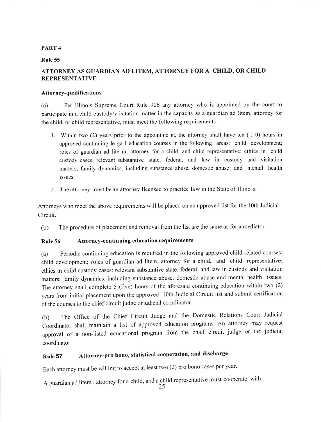## PART 4

#### Rule 55

# ATTORNEY AS GUARDIAN AD LITEM, ATTORNEY FOR A CHILD, OR CHILD REPRESENTATIVE

#### Attorney-qualifications

(a) Per lllinois Supreme Court Rule 906 any attorney who is appointed by the court to participate in a child custody/v isitation mafter in the capacity as a guardian ad !item, attorney for the child, or child representative. must meet the following requirements:

- Within two (2) years prior to the appointme nt, the attorney shall have ten ( I 0) hours in approved continuing le ga I education courses in the following areas: child development; roles of guardian ad lite m, attorney for a child, and child representative; ethics in child custody cases; relevant substantive state. federal, and law in custody and visitation matters; family dynamics, including substance abuse, domestic abuse and mental health issues.
- 2. The attorney must be an attorney licensed to practice law in the State of Illino is.

Attorneys who meet the above requirements will be placed on an approved list for the loth Judicial Circuit.

(b) The procedure of placement and removal from the list are the same as for a mediator.

## Rule 56 Attorney-continuing education requirements

(a) Periodic continuing education is required in the following approved child-related courses: child development; roles of guardian ad litem. attorney for a child, and child representative: ethics in child custody cases; relevant substantive state, federal, and law in custody and visitation matters; family dynamics, including substance abuse. domestic abuse and mental health issues. The attomey shall complete 5 (five) hours of the aforesaid continuing education within two (2) years from initial placement upon the approved lOth Judicial Circuit list and submit certification of the courses to the chief circuit judge orjudicial coordinator'

(b) The office of the chief circuit Judge and the Domestic Relations court Judicial Coordinator shall maintain a list of approved education programs. An attorney may request approval of a non-listed educational program from the chief circuit judge or the judicial coordinator.

# Rule 57 Attorney-pro bono, statistical cooperation, and discharge

Each attorney must be willing to accept at least two (2) pro bono cases per year.

A guardian ad litem, attorney for a child, and a child representative must cooperate with